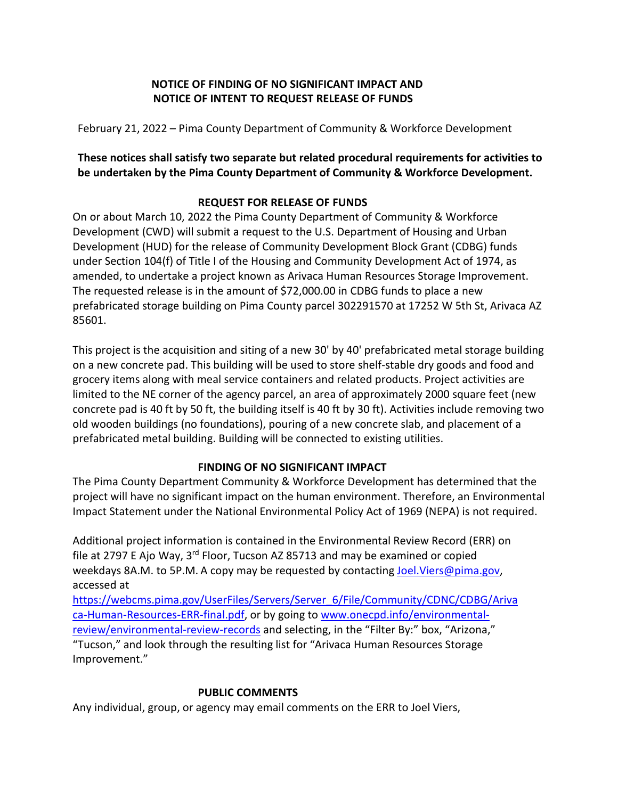## **NOTICE OF FINDING OF NO SIGNIFICANT IMPACT AND NOTICE OF INTENT TO REQUEST RELEASE OF FUNDS**

February 21, 2022 – Pima County Department of Community & Workforce Development

### **These notices shall satisfy two separate but related procedural requirements for activities to be undertaken by the Pima County Department of Community & Workforce Development.**

# **REQUEST FOR RELEASE OF FUNDS**

On or about March 10, 2022 the Pima County Department of Community & Workforce Development (CWD) will submit a request to the U.S. Department of Housing and Urban Development (HUD) for the release of Community Development Block Grant (CDBG) funds under Section 104(f) of Title I of the Housing and Community Development Act of 1974, as amended, to undertake a project known as Arivaca Human Resources Storage Improvement. The requested release is in the amount of \$72,000.00 in CDBG funds to place a new prefabricated storage building on Pima County parcel 302291570 at 17252 W 5th St, Arivaca AZ 85601.

This project is the acquisition and siting of a new 30' by 40' prefabricated metal storage building on a new concrete pad. This building will be used to store shelf-stable dry goods and food and grocery items along with meal service containers and related products. Project activities are limited to the NE corner of the agency parcel, an area of approximately 2000 square feet (new concrete pad is 40 ft by 50 ft, the building itself is 40 ft by 30 ft). Activities include removing two old wooden buildings (no foundations), pouring of a new concrete slab, and placement of a prefabricated metal building. Building will be connected to existing utilities.

### **FINDING OF NO SIGNIFICANT IMPACT**

The Pima County Department Community & Workforce Development has determined that the project will have no significant impact on the human environment. Therefore, an Environmental Impact Statement under the National Environmental Policy Act of 1969 (NEPA) is not required.

Additional project information is contained in the Environmental Review Record (ERR) on file at 2797 E Ajo Way,  $3^{rd}$  Floor, Tucson AZ 85713 and may be examined or copied weekdays 8A.M. to 5P.M. A copy may be requested by contacting Joel. Viers@pima.gov, accessed at

[https://webcms.pima.gov/UserFiles/Servers/Server\\_6/File/Community/CDNC/CDBG/Ariva](https://webcms.pima.gov/UserFiles/Servers/Server_6/File/Community/CDNC/CDBG/Arivaca-Human-Resources-ERR-final.pdf) [ca-Human-Resources-ERR-final.pdf,](https://webcms.pima.gov/UserFiles/Servers/Server_6/File/Community/CDNC/CDBG/Arivaca-Human-Resources-ERR-final.pdf) or by going to [www.onecpd.info/environmental](http://www.onecpd.info/environmental-review/environmental-review-records)[review/environmental-review-records](http://www.onecpd.info/environmental-review/environmental-review-records) and selecting, in the "Filter By:" box, "Arizona," "Tucson," and look through the resulting list for "Arivaca Human Resources Storage Improvement."

### **PUBLIC COMMENTS**

Any individual, group, or agency may email comments on the ERR to Joel Viers,